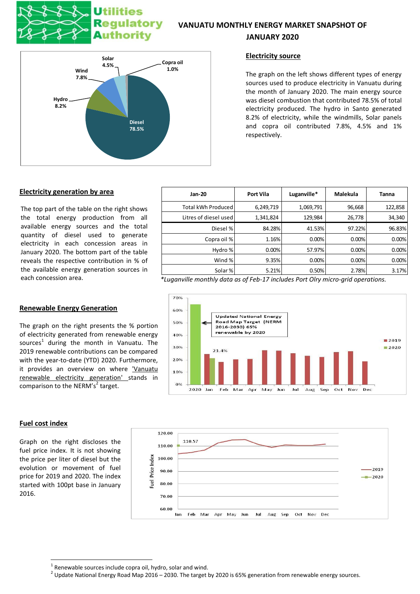# **Utilities Regulatory Authority**

## **VANUATU MONTHLY ENERGY MARKET SNAPSHOT OF JANUARY 2020**



## **Electricity source**

The graph on the left shows different types of energy sources used to produce electricity in Vanuatu during the month of January 2020. The main energy source was diesel combustion that contributed 78.5% of total electricity produced. The hydro in Santo generated 8.2% of electricity, while the windmills, Solar panels and copra oil contributed 7.8%, 4.5% and 1% respectively.

## **Electricity generation by area**

The top part of the table on the right shows the total energy production from all available energy sources and the total quantity of diesel used to generate electricity in each concession areas in January 2020. The bottom part of the table reveals the respective contribution in % of the available energy generation sources in

## **Renewable Energy Generation**

The graph on the right presents the % portion of electricity generated from renewable energy sources<sup>1</sup> during the month in Vanuatu. The 2019 renewable contributions can be compared with the year-to-date (YTD) 2020. Furthermore, it provides an overview on where 'Vanuatu renewable electricity generation' stands in comparison to the NERM's<sup>2</sup> target.

## **Jan-20 Port Vila Luganville\* Malekula Tanna** Total kWh Produced 6,249,719 1,069,791 96,668 122,858 Litres of diesel used  $\begin{array}{ccc} 1,341,824 & 129,984 & 26,778 \end{array}$  34,340 Diesel % 84.28% 41.53% 97.22% 98.83% Copra oil %  $\begin{array}{ccc} 1.16\% & 0.00\% & 0.00\% \end{array}$  0.00% 0.00% Hydro % 0.00% 57.97% 0.00% 0.00%  $\text{Wind } \% \qquad \qquad 9.35\% \qquad \qquad 0.00\% \qquad \qquad 0.00\% \qquad \qquad 0.00\%$ Solar % 5.21% 5.21% 5.21% 5.50% 5.50% 5.21%

each concession area. *\*Luganville monthly data as of Feb-17 includes Port Olry micro-grid operations.*





## **Fuel cost index**

**.** 

Graph on the right discloses the fuel price index. It is not showing the price per liter of diesel but the evolution or movement of fuel price for 2019 and 2020. The index started with 100pt base in January 2016.

 $1$  Renewable sources include copra oil, hydro, solar and wind.

 $^2$  Update National Energy Road Map 2016 – 2030. The target by 2020 is 65% generation from renewable energy sources.